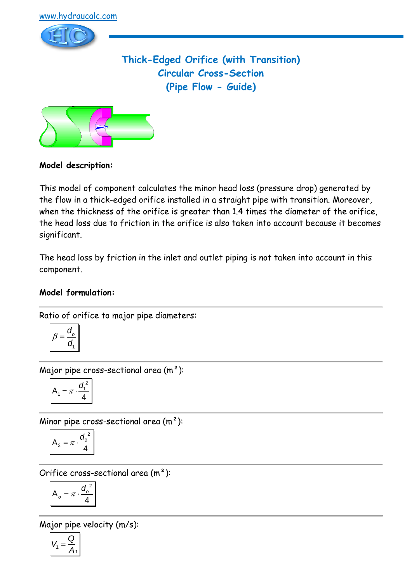

**Thick-Edged Orifice (with Transition) Circular Cross-Section (Pipe Flow - Guide)**



## **Model description:**

This model of component calculates the minor head loss (pressure drop) generated by the flow in a thick-edged orifice installed in a straight pipe with transition. Moreover, when the thickness of the orifice is greater than 1.4 times the diameter of the orifice, the head loss due to friction in the orifice is also taken into account because it becomes significant.

The head loss by friction in the inlet and outlet piping is not taken into account in this component.

## **Model formulation:**

Ratio of orifice to major pipe diameters:

$$
\beta = \frac{d_o}{d_1}
$$

Major pipe cross-sectional area (m²):

$$
A_1 = \pi \cdot \frac{d_1^2}{4}
$$

Minor pipe cross-sectional area  $(m<sup>2</sup>)$ :

$$
A_2 = \pi \cdot \frac{d_2^2}{4}
$$

Orifice cross-sectional area (m²):

$$
A_o = \pi \cdot \frac{{d_o}^2}{4}
$$

Major pipe velocity (m/s):

$$
V_1=\frac{Q}{A_1}
$$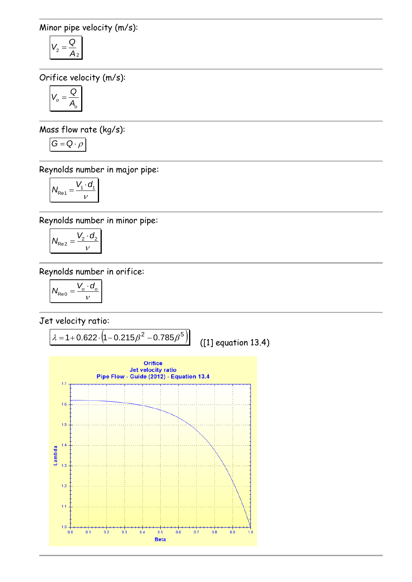Minor pipe velocity (m/s):

$$
V_2 = \frac{Q}{A_2}
$$

Orifice velocity (m/s):

$$
V_o = \frac{Q}{A_o}
$$

Mass flow rate (kg/s):

$$
G=Q\cdot \rho
$$

Reynolds number in major pipe:

$$
N_{\text{Re}1} = \frac{V_1 \cdot d_1}{V}
$$

Reynolds number in minor pipe:

$$
N_{\text{Re}2} = \frac{V_2 \cdot d_2}{v}
$$

Reynolds number in orifice:

$$
N_{\text{Re}0} = \frac{V_o \cdot d_o}{v}
$$

Jet velocity ratio:

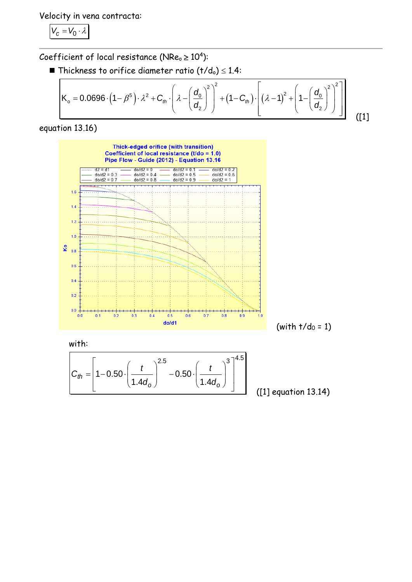Velocity in vena contracta:

$$
V_c=V_0\cdot\lambda
$$

Coefficient of local resistance (NRe $_{\circ}$   $\geq$  10<sup>4</sup>):

**efficient of local resistance (NRe<sub>o</sub> ≥ 10<sup>4</sup>):**  
\n■ Thickness to orifice diameter ratio (t/d<sub>o</sub>) ≤ 1.4:  
\n
$$
K_o = 0.0696 \cdot (1 - \beta^5) \cdot \lambda^2 + C_{\text{th}} \cdot \left( \lambda - \left( \frac{d_o}{d_2} \right)^2 \right)^2 + (1 - C_{\text{th}}) \cdot \left[ \left( \lambda - 1 \right)^2 + \left( 1 - \left( \frac{d_o}{d_2} \right)^2 \right)^2 \right]
$$
\n(11)

equation 13.16)



with:

$$
C_{th} = \left[1 - 0.50 \cdot \left(\frac{t}{1.4d_o}\right)^{2.5} - 0.50 \cdot \left(\frac{t}{1.4d_o}\right)^{3}\right]^{4.5}
$$

([1] equation 13.14)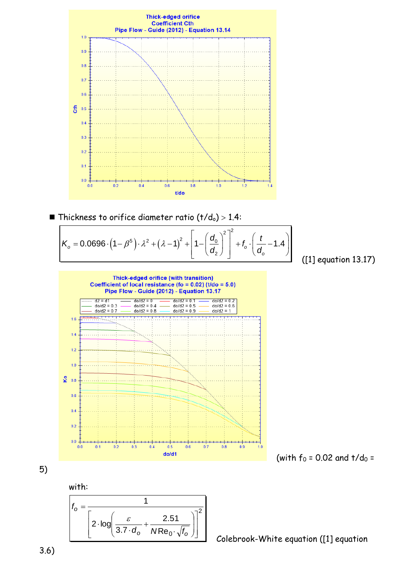

■ Thickness to orifice diameter ratio 
$$
(t/d_0) > 1.4
$$
:  
\n
$$
K_o = 0.0696 \cdot (1 - \beta^5) \cdot \lambda^2 + (\lambda - 1)^2 + \left[1 - \left(\frac{d_0}{d_2}\right)^2\right]^2 + f_o \cdot \left(\frac{t}{d_o} - 1.4\right)
$$
\n[1] ec

([1] equation 13.17)



(with 
$$
f_0 = 0.02
$$
 and  $t/d_0 =$ 

5)

with:



Colebrook-White equation ([1] equation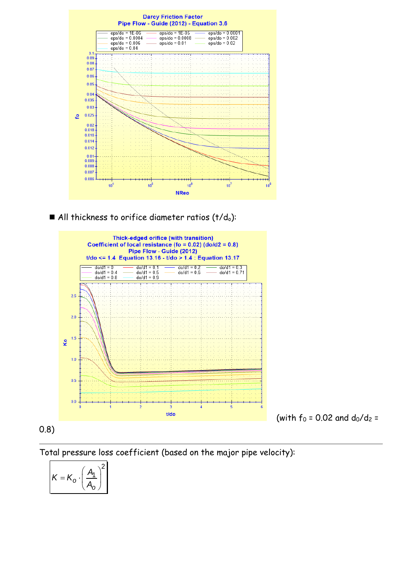

 $\blacksquare$  All thickness to orifice diameter ratios (t/do):



0.8)

Total pressure loss coefficient (based on the major pipe velocity):

$$
K = K_o \cdot \left(\frac{A_1}{A_o}\right)^2
$$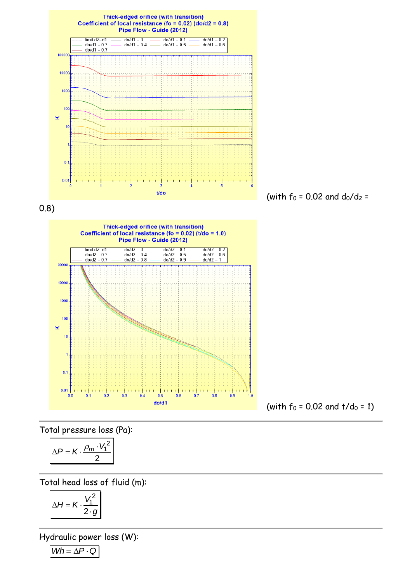

 $0.8$ 

 $0.9$ 

 $1.0$ 

 $0.7$ 

 $(with f<sub>0</sub> = 0.02 and t/d<sub>0</sub> = 1)$ 

Total pressure loss (Pa):

 $0.1$ 

 $^+$ 

 $0.2$ 

 $^{++}$ 

 $0.3$ 

 $0.4$ 

 $0.5$ 

 $0.6$ 

 $0.1$ 

 $0.01 -$ 

 $0.0$ 

$$
\Delta P = K \cdot \frac{\rho_m \cdot V_1^2}{2}
$$

Total head loss of fluid (m):

$$
\Delta H = K \cdot \frac{V_1^2}{2 \cdot g}
$$

Hydraulic power loss (W):

 $Wh = \Delta P \cdot Q$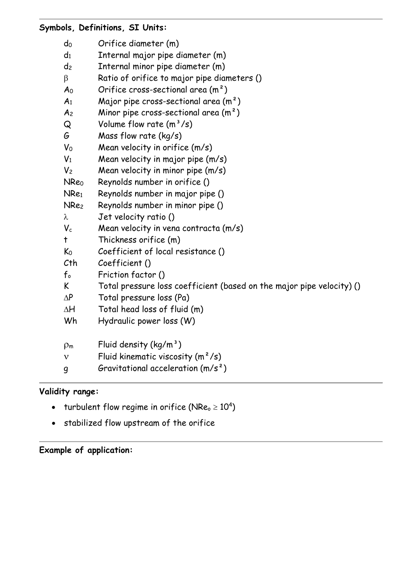| Symbols, Definitions, SI Units: |                                                                       |
|---------------------------------|-----------------------------------------------------------------------|
| $d_0$                           | Orifice diameter (m)                                                  |
| $d_1$                           | Internal major pipe diameter (m)                                      |
| d <sub>2</sub>                  | Internal minor pipe diameter (m)                                      |
| $\beta$                         | Ratio of orifice to major pipe diameters ()                           |
| A <sub>0</sub>                  | Orifice cross-sectional area $(m2)$                                   |
| A <sub>1</sub>                  | Major pipe cross-sectional area $(m^2)$                               |
| A <sub>2</sub>                  | Minor pipe cross-sectional area $(m2)$                                |
| Q                               | Volume flow rate $(m^3/s)$                                            |
| G                               | Mass flow rate (kg/s)                                                 |
| $V_0$                           | Mean velocity in orifice (m/s)                                        |
| $V_1$                           | Mean velocity in major pipe (m/s)                                     |
| V <sub>2</sub>                  | Mean velocity in minor pipe (m/s)                                     |
| <b>NReo</b>                     | Reynolds number in orifice ()                                         |
| NRe <sub>1</sub>                | Reynolds number in major pipe ()                                      |
| NRe <sub>2</sub>                | Reynolds number in minor pipe ()                                      |
| λ                               | Jet velocity ratio ()                                                 |
| $V_c$                           | Mean velocity in vena contracta (m/s)                                 |
| $\ddagger$                      | Thickness orifice (m)                                                 |
| K <sub>0</sub>                  | Coefficient of local resistance ()                                    |
| Cth                             | Coefficient ()                                                        |
| $f_{\circ}$                     | Friction factor ()                                                    |
| K                               | Total pressure loss coefficient (based on the major pipe velocity) () |
| $\Delta P$                      | Total pressure loss (Pa)                                              |
| $\Delta H$                      | Total head loss of fluid (m)                                          |
| Wh                              | Hydraulic power loss (W)                                              |
| $\rho_m$                        | Fluid density $(kg/m^3)$                                              |
| $\mathbf{V}$                    | Fluid kinematic viscosity $(m^2/s)$                                   |
| $\boldsymbol{q}$                | Gravitational acceleration $(m/s^2)$                                  |

## **Validity range:**

- turbulent flow regime in orifice (NRe $_{\circ}$   $\geq 10^{4})$
- stabilized flow upstream of the orifice

**Example of application:**